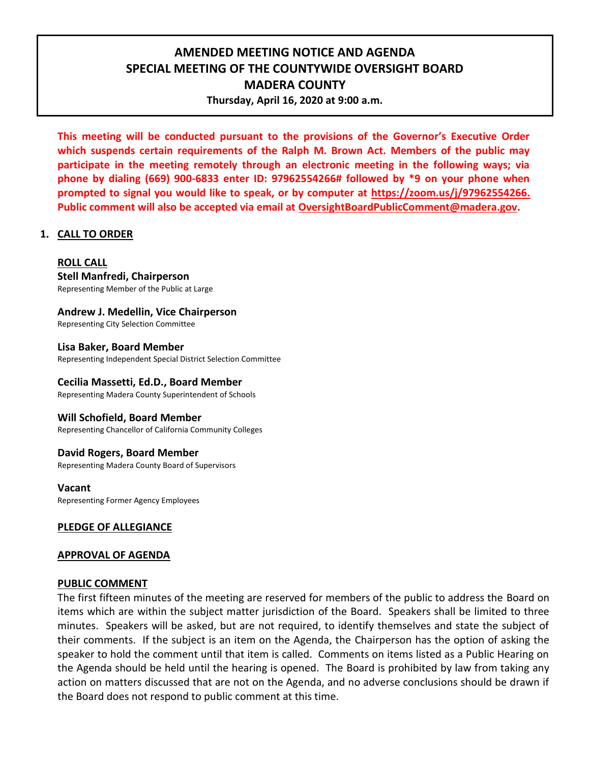# **AMENDED MEETING NOTICE AND AGENDA SPECIAL MEETING OF THE COUNTYWIDE OVERSIGHT BOARD MADERA COUNTY Thursday, April 16, 2020 at 9:00 a.m.**

**This meeting will be conducted pursuant to the provisions of the Governor's Executive Order which suspends certain requirements of the Ralph M. Brown Act. Members of the public may participate in the meeting remotely through an electronic meeting in the following ways; via phone by dialing (669) 900-6833 enter ID: 97962554266# followed by \*9 on your phone when prompted to signal you would like to speak, or by computer at [https://zoom.us/j/97962554266.](https://zoom.us/j/97962554266) Public comment will also be accepted via email at [OversightBoardPublicComment@madera.gov.](mailto:OversightBoardPublicComment@madera.gov)**

## **1. CALL TO ORDER**

**ROLL CALL Stell Manfredi, Chairperson** Representing Member of the Public at Large

**Andrew J. Medellin, Vice Chairperson** Representing City Selection Committee

**Lisa Baker, Board Member** Representing Independent Special District Selection Committee

# **Cecilia Massetti, Ed.D., Board Member**

Representing Madera County Superintendent of Schools

#### **Will Schofield, Board Member**

Representing Chancellor of California Community Colleges

#### **David Rogers, Board Member**

Representing Madera County Board of Supervisors

#### **Vacant**

Representing Former Agency Employees

# **PLEDGE OF ALLEGIANCE**

#### **APPROVAL OF AGENDA**

#### **PUBLIC COMMENT**

The first fifteen minutes of the meeting are reserved for members of the public to address the Board on items which are within the subject matter jurisdiction of the Board. Speakers shall be limited to three minutes. Speakers will be asked, but are not required, to identify themselves and state the subject of their comments. If the subject is an item on the Agenda, the Chairperson has the option of asking the speaker to hold the comment until that item is called. Comments on items listed as a Public Hearing on the Agenda should be held until the hearing is opened. The Board is prohibited by law from taking any action on matters discussed that are not on the Agenda, and no adverse conclusions should be drawn if the Board does not respond to public comment at this time.